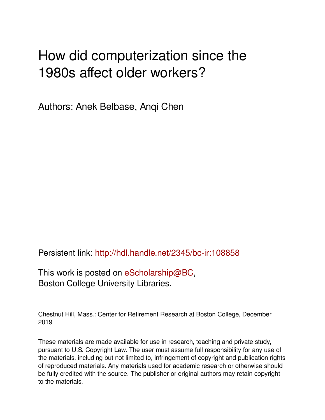## How did computerization since the 1980s affect older workers?

Authors: Anek Belbase, Anqi Chen

Persistent link: <http://hdl.handle.net/2345/bc-ir:108858>

This work is posted on [eScholarship@BC](http://escholarship.bc.edu), Boston College University Libraries.

Chestnut Hill, Mass.: Center for Retirement Research at Boston College, December 2019

These materials are made available for use in research, teaching and private study, pursuant to U.S. Copyright Law. The user must assume full responsibility for any use of the materials, including but not limited to, infringement of copyright and publication rights of reproduced materials. Any materials used for academic research or otherwise should be fully credited with the source. The publisher or original authors may retain copyright to the materials.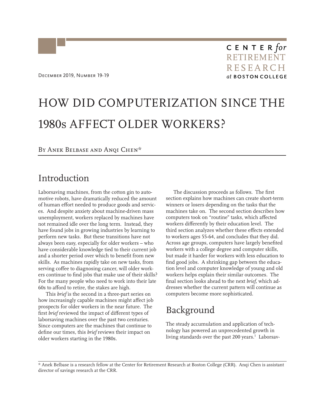# HOW DID COMPUTERIZATION SINCE THE 1980s AFFECT OLDER WORKERS?

#### BY ANEK BELBASE AND ANQI CHEN\*

### Introduction

Laborsaving machines, from the cotton gin to automotive robots, have dramatically reduced the amount of human effort needed to produce goods and services. And despite anxiety about machine-driven mass unemployment, workers replaced by machines have not remained idle over the long term. Instead, they have found jobs in growing industries by learning to perform new tasks. But these transitions have not always been easy, especially for older workers – who have considerable knowledge tied to their current job and a shorter period over which to benefit from new skills. As machines rapidly take on new tasks, from serving coffee to diagnosing cancer, will older workers continue to find jobs that make use of their skills? For the many people who need to work into their late 60s to afford to retire, the stakes are high.

This *brief* is the second in a three-part series on how increasingly capable machines might affect job prospects for older workers in the near future. The first *brief* reviewed the impact of different types of laborsaving machines over the past two centuries. Since computers are the machines that continue to define our times, this *brief* reviews their impact on older workers starting in the 1980s.

The discussion proceeds as follows. The first section explains how machines can create short-term winners or losers depending on the tasks that the machines take on. The second section describes how computers took on "routine" tasks, which affected workers differently by their education level. The third section analyzes whether these effects extended to workers ages 55-64, and concludes that they did. Across age groups, computers have largely benefited workers with a college degree and computer skills, but made it harder for workers with less education to find good jobs. A shrinking gap between the education level and computer knowledge of young and old workers helps explain their similar outcomes. The final section looks ahead to the next *brief*, which addresses whether the current pattern will continue as computers become more sophisticated.

## Background

The steady accumulation and application of technology has powered an unprecedented growth in living standards over the past 200 years.<sup>1</sup> Laborsav-

\* Anek Belbase is a research fellow at the Center for Retirement Research at Boston College (CRR). Anqi Chen is assistant director of savings research at the CRR.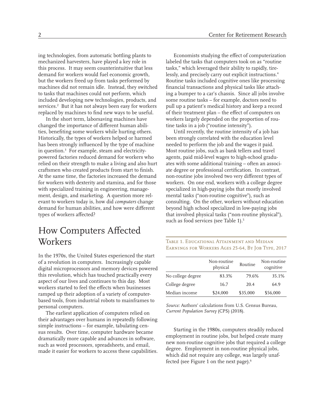ing technologies, from automatic bottling plants to mechanized harvesters, have played a key role in this process. It may seem counterintuitive that less demand for workers would fuel economic growth, but the workers freed up from tasks performed by machines did not remain idle. Instead, they switched to tasks that machines could not perform, which included developing new technologies, products, and services.<sup>2</sup> But it has not always been easy for workers replaced by machines to find new ways to be useful.

In the short term, laborsaving machines have changed the importance of different human abilities, benefiting some workers while hurting others. Historically, the types of workers helped or harmed has been strongly influenced by the type of machine in question.3 For example, steam and electricitypowered factories reduced demand for workers who relied on their strength to make a living and also hurt craftsmen who created products from start to finish. At the same time, the factories increased the demand for workers with dexterity and stamina, and for those with specialized training in engineering, management, design, and marketing. A question more relevant to workers today is, how did *computers* change demand for human abilities, and how were different types of workers affected?

## How Computers Affected Workers

In the 1970s, the United States experienced the start of a revolution in computers. Increasingly capable digital microprocessors and memory devices powered this revolution, which has touched practically every aspect of our lives and continues to this day. Most workers started to feel the effects when businesses ramped up their adoption of a variety of computerbased tools, from industrial robots to mainframes to personal computers.

The earliest application of computers relied on their advantages over humans in repeatedly following simple instructions – for example, tabulating census results. Over time, computer hardware became dramatically more capable and advances in software, such as word processors, spreadsheets, and email, made it easier for workers to access these capabilities.

Economists studying the effect of computerization labeled the tasks that computers took on as "routine tasks," which leveraged their ability to rapidly, tirelessly, and precisely carry out explicit instructions.4 Routine tasks included cognitive ones like processing financial transactions and physical tasks like attaching a bumper to a car's chassis. Since all jobs involve some routine tasks – for example, doctors need to pull up a patient's medical history and keep a record of their treatment plan – the effect of computers on workers largely depended on the proportion of routine tasks in a job ("routine intensity").

Until recently, the routine intensity of a job has been strongly correlated with the education level needed to perform the job and the wages it paid. Most routine jobs, such as bank tellers and travel agents, paid mid-level wages to high-school graduates with some additional training – often an associate degree or professional certification. In contrast, non-routine jobs involved two very different types of workers. On one end, workers with a college degree specialized in high-paying jobs that mostly involved mental tasks ("non-routine cognitive"), such as consulting. On the other, workers without education beyond high school specialized in low-paying jobs that involved physical tasks ("non-routine physical"), such as food services (see Table 1).<sup>5</sup>

Table 1. Educational Attainment and Median Earnings for Workers Ages 25-64, By Job Type, 2017

|                   | Non-routine<br>physical | Routine  | Non-routine<br>cognitive |
|-------------------|-------------------------|----------|--------------------------|
| No college degree | 83.3%                   | 79.6%    | 35.1%                    |
| College degree    | 16.7                    | 20.4     | 64.9                     |
| Median income     | \$24,000                | \$35,000 | \$56,000                 |

*Source:* Authors' calculations from U.S. Census Bureau, *Current Population Survey* (CPS) (2018).

Starting in the 1980s, computers steadily reduced employment in routine jobs, but helped create many new non-routine cognitive jobs that required a college degree. Employment in non-routine physical jobs, which did not require any college, was largely unaffected (see Figure 1 on the next page).<sup>6</sup>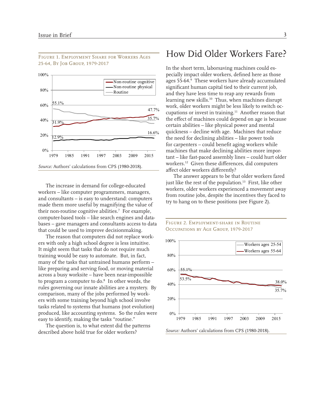

Figure 1. Employment Share for Workers Ages 25-64, By Job Group, 1979-2017

The increase in demand for college-educated workers – like computer programmers, managers, and consultants – is easy to understand: computers made them more useful by magnifying the value of their non-routine cognitive abilities.7 For example, computer-based tools – like search engines and databases – gave managers and consultants access to data that could be used to improve decisionmaking.

The reason that computers did not replace workers with only a high school degree is less intuitive. It might seem that tasks that do not require much training would be easy to automate. But, in fact, many of the tasks that untrained humans perform – like preparing and serving food, or moving material across a busy worksite – have been near-impossible to program a computer to do.<sup>8</sup> In other words, the rules governing our innate abilities are a mystery. By comparison, many of the jobs performed by workers with some training beyond high school involve tasks related to systems that humans (not evolution) produced, like accounting systems. So the rules were easy to identify, making the tasks "routine."

The question is, to what extent did the patterns described above hold true for older workers?

## How Did Older Workers Fare?

In the short term, laborsaving machines could especially impact older workers, defined here as those ages 55-64.<sup>9</sup> These workers have already accumulated significant human capital tied to their current job, and they have less time to reap any rewards from learning new skills.<sup>10</sup> Thus, when machines disrupt work, older workers might be less likely to switch occupations or invest in training.<sup>11</sup> Another reason that the effect of machines could depend on age is because certain abilities – like physical power and mental quickness – decline with age. Machines that reduce the need for declining abilities – like power tools for carpenters – could benefit aging workers while machines that make declining abilities more important – like fast-paced assembly lines – could hurt older workers.12 Given these differences, did computers affect older workers differently?

The answer appears to be that older workers fared just like the rest of the population.<sup>13</sup> First, like other workers, older workers experienced a movement away from routine jobs, despite the incentives they faced to try to hang on to these positions (see Figure 2).



#### Figure 2. Employment-share in Routine Occupations by Age Group, 1979-2017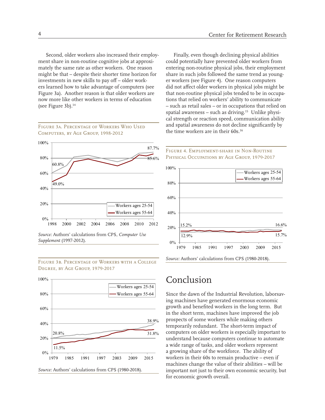Second, older workers also increased their employment share in non-routine cognitive jobs at approximately the same rate as other workers. One reason might be that – despite their shorter time horizon for investments in new skills to pay off – older workers learned how to take advantage of computers (see Figure 3a). Another reason is that older workers are now more like other workers in terms of education (see Figure 3b).<sup>14</sup>

Figure 3a. Percentage of Workers Who Used Computers, by Age Group, 1998-2012



*Source:* Authors' calculations from CPS, *Computer Use Supplement* (1997-2012).



Figure 3b. Percentage of Workers with a College Degree, by Age Group, 1979-2017

#### tions that relied on workers' ability to communicate – such as retail sales – or in occupations that relied on spatial awareness – such as driving. $15$  Unlike physical strength or reaction speed, communication ability and spatial awareness do not decline significantly by the time workers are in their 60s.<sup>16</sup>

Finally, even though declining physical abilities could potentially have prevented older workers from entering non-routine physical jobs, their employment share in such jobs followed the same trend as younger workers (see Figure 4). One reason computers did not affect older workers in physical jobs might be that non-routine physical jobs tended to be in occupa-





## Conclusion

Since the dawn of the Industrial Revolution, laborsaving machines have generated enormous economic growth and benefited workers in the long term. But in the short term, machines have improved the job prospects of some workers while making others temporarily redundant. The short-term impact of computers on older workers is especially important to understand because computers continue to automate a wide range of tasks, and older workers represent a growing share of the workforce. The ability of workers in their 60s to remain productive – even if machines change the value of their abilities – will be important not just to their own economic security, but for economic growth overall.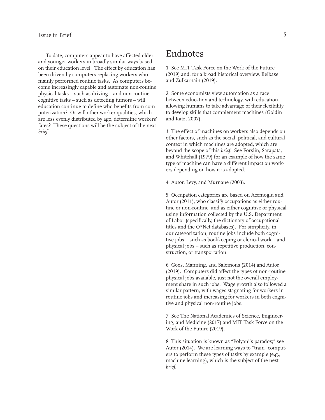To date, computers appear to have affected older and younger workers in broadly similar ways based on their education level. The effect by education has been driven by computers replacing workers who mainly performed routine tasks. As computers become increasingly capable and automate non-routine physical tasks – such as driving – and non-routine cognitive tasks – such as detecting tumors – will education continue to define who benefits from computerization? Or will other worker qualities, which are less evenly distributed by age, determine workers' fates? These questions will be the subject of the next *brief.*

## Endnotes

1 See MIT Task Force on the Work of the Future (2019) and, for a broad historical overview, Belbase and Zulkarnain (2019).

2 Some economists view automation as a race between education and technology, with education allowing humans to take advantage of their flexibility to develop skills that complement machines (Goldin and Katz, 2007).

3 The effect of machines on workers also depends on other factors, such as the social, political, and cultural context in which machines are adopted, which are beyond the scope of this *brief.* See Forslin, Sarapata, and Whitehall (1979) for an example of how the same type of machine can have a different impact on workers depending on how it is adopted.

4 Autor, Levy, and Murnane (2003).

5 Occupation categories are based on Acemoglu and Autor (2011), who classify occupations as either routine or non-routine, and as either cognitive or physical using information collected by the U.S. Department of Labor (specifically, the dictionary of occupational titles and the O\*Net databases). For simplicity, in our categorization, routine jobs include both cognitive jobs – such as bookkeeping or clerical work – and physical jobs – such as repetitive production, construction, or transportation.

6 Goos, Manning, and Salomons (2014) and Autor (2019). Computers did affect the types of non-routine physical jobs available, just not the overall employment share in such jobs. Wage growth also followed a similar pattern, with wages stagnating for workers in routine jobs and increasing for workers in both cognitive and physical non-routine jobs.

7 See The National Academies of Science, Engineering, and Medicine (2017) and MIT Task Force on the Work of the Future (2019).

8 This situation is known as "Polyani's paradox;" see Autor (2014). We are learning ways to "train" computers to perform these types of tasks by example (e.g., machine learning), which is the subject of the next *brief.*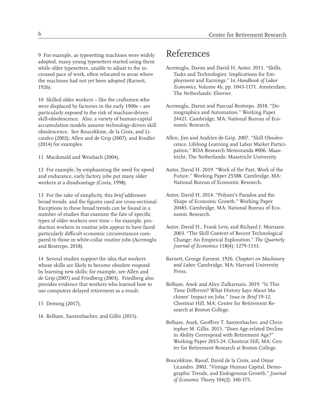9 For example, as typesetting machines were widely adopted, many young typesetters started using them while older typesetters, unable to adjust to the increased pace of work, often relocated to areas where the machines had not yet been adopted (Barnett, 1926).

10 Skilled older workers – like the craftsmen who were displaced by factories in the early 1900s – are particularly exposed to the risk of machine-driven skill-obsolescence. Also, a variety of human-capital accumulation models assume technology-driven skill obsolescence. See Boucekkine, de la Croix, and Licandro (2002); Allen and de Grip (2007); and Kredler (2014) for examples.

11 Macdonald and Weisbach (2004).

12 For example, by emphasizing the need for speed and endurance, early factory jobs put many older workers at a disadvantage (Costa, 1998).

13 For the sake of simplicity, this *brief* addresses broad trends, and the figures used are cross-sectional. Exceptions to these broad trends can be found in a number of studies that examine the fate of specific types of older workers over time – for example, production workers in routine jobs appear to have faced particularly difficult economic circumstances compared to those in white-collar routine jobs (Acemoglu and Restrepo, 2018).

14 Several studies support the idea that workers whose skills are likely to become obsolete respond by learning new skills; for example, see Allen and de Grip (2007) and Friedberg (2003). Friedberg also provides evidence that workers who learned how to use computers delayed retirement as a result.

15 Deming (2017).

16 Belbase, Sanzenbacher, and Gillis (2015).

## References

- Acemoglu, Daron and David H. Autor. 2011. "Skills, Tasks and Technologies: Implications for Employment and Earnings." In *Handbook of Labor Economics,* Volume 4b, pp. 1043-1171. Amsterdam, The Netherlands: Elsevier.
- Acemoglu, Daron and Pascual Restrepo. 2018. "Demographics and Automation." Working Paper 24421. Cambridge, MA: National Bureau of Economic Research.
- Allen, Jim and Andries de Grip. 2007. "Skill Obsolescence, Lifelong Learning and Labor Market Participation." ROA Research Memoranda #006. Maastricht, The Netherlands: Maastricht University.
- Autor, David H. 2019. "Work of the Past, Work of the Future." Working Paper 25588. Cambridge, MA: National Bureau of Economic Research.
- Autor, David H. 2014. "Polyani's Paradox and the Shape of Economic Growth." Working Paper 20485. Cambridge, MA: National Bureau of Economic Research.
- Autor, David H., Frank Levy, and Richard J. Murnane. 2003. "The Skill Content of Recent Technological Change: An Empirical Exploration." *The Quarterly Journal of Economics* 118(4): 1279-1333.
- Barnett, George Earnest. 1926. *Chapters on Machinery and Labor.* Cambridge, MA: Harvard University Press.
- Belbase, Anek and Alice Zulkarnain. 2019. "Is This Time Different? What History Says About Machines' Impact on Jobs." *Issue in Brief* 19-12. Chestnut Hill, MA: Center for Retirement Research at Boston College.
- Belbase, Anek, Geoffrey T. Sanzenbacher, and Christopher M. Gillis. 2015. "Does Age-related Decline in Ability Correspond with Retirement Age?" Working Paper 2015-24. Chestnut Hill, MA: Center for Retirement Research at Boston College.
- Boucekkine, Raouf, David de la Croix, and Omar Licandro. 2002. "Vintage Human Capital, Demographic Trends, and Endogenous Growth." *Journal of Economic Theory* 104(2): 340-375.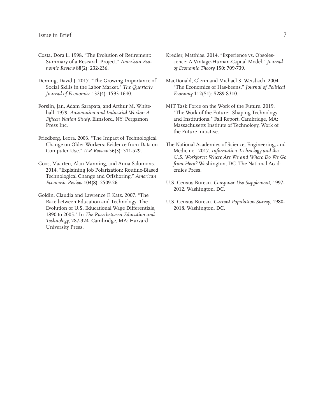- Costa, Dora L. 1998. "The Evolution of Retirement: Summary of a Research Project." *American Economic Review* 88(2): 232-236.
- Deming, David J. 2017. "The Growing Importance of Social Skills in the Labor Market." *The Quarterly Journal of Economics* 132(4): 1593-1640.
- Forslin, Jan, Adam Sarapata, and Arthur M. Whitehall. 1979. *Automation and Industrial Worker: A Fifteen Nation Study.* Elmsford, NY: Pergamon Press Inc.
- Friedberg, Leora. 2003. "The Impact of Technological Change on Older Workers: Evidence from Data on Computer Use." *ILR Review* 56(3): 511-529.
- Goos, Maarten, Alan Manning, and Anna Salomons. 2014. "Explaining Job Polarization: Routine-Biased Technological Change and Offshoring." *American Economic Review* 104(8): 2509-26.
- Goldin, Claudia and Lawrence F. Katz. 2007. "The Race between Education and Technology: The Evolution of U.S. Educational Wage Differentials, 1890 to 2005." In *The Race between Education and Technology,* 287-324. Cambridge, MA: Harvard University Press.
- Kredler, Matthias. 2014. "Experience vs. Obsolescence: A Vintage-Human-Capital Model." *Journal of Economic Theory* 150: 709-739.
- MacDonald, Glenn and Michael S. Weisbach. 2004. "The Economics of Has-beens." *Journal of Political Economy* 112(S1): S289-S310.
- MIT Task Force on the Work of the Future. 2019. "The Work of the Future: Shaping Technology and Institutions." Fall Report. Cambridge, MA: Massachusetts Institute of Technology, Work of the Future initiative.
- The National Academies of Science, Engineering, and Medicine. 2017. *Information Technology and the U.S. Workforce: Where Are We and Where Do We Go from Here?* Washington, DC. The National Academies Press.
- U.S. Census Bureau. *Computer Use Supplement*, 1997- 2012. Washington. DC.
- U.S. Census Bureau. *Current Population Survey*, 1980- 2018. Washington. DC.